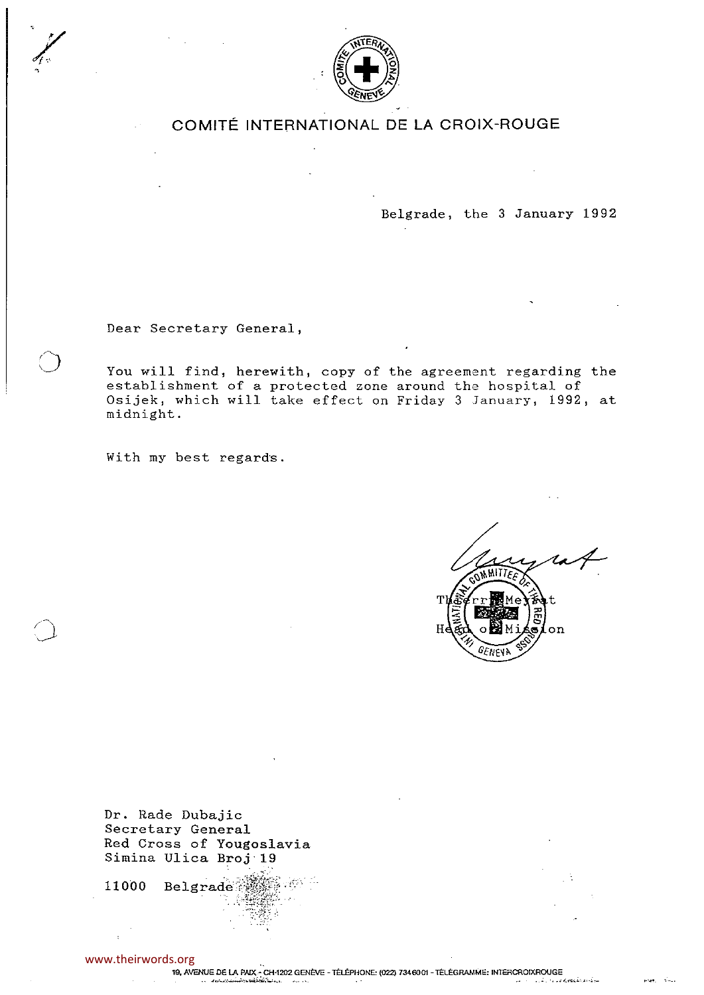

## COMITÉ INTERNATIONAL DE LA CROIX-ROUGE

Belgrade, the 3 January 1992

Dear Secretary General,

You will find, herewith, copy of the agreement regarding the establishment of a protected zone around the hospital of Osijek, which will take effect on Friday 3 January, 1992, at midnight.

With my best regards.

Tl He  $\alpha$ 

Dr. Rade Dubajic Secretary General Red Cross of Yougoslavia Simina Ulica Broj 19

යු යුතුර <sup>යු</sup> 11000 **Belgrade** 

www.theirwords.org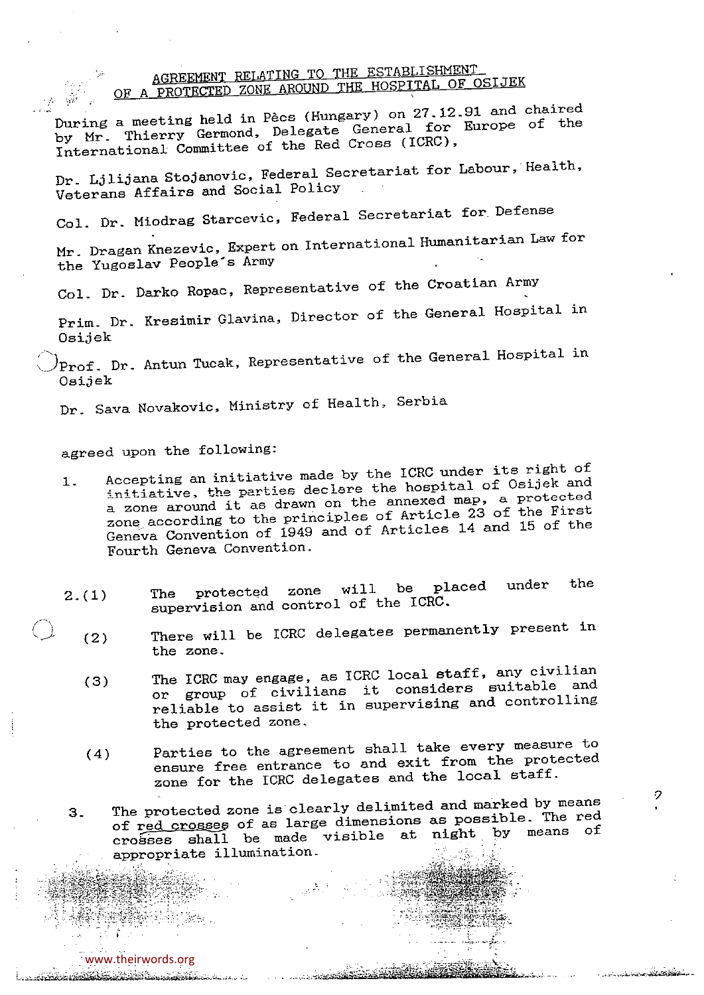## AGREEMENT RELATING TO THE ESTABLISHMENT OF A PROTECTED ZONE AROUND THE HOSPITAL OF OSIJEK

During a meeting held in Pècs (Hungary) on 27.12.91 and chaired by Mr. Thierry Germond, Delegate General for Europe of the International Committee of the Red Cr065 (ICRC), Dr.. Ljlijana Stojanovic, Federal Secretariat for Labour, Health, Veterans Affairs and Social Policy Col. Dr. Miodrag Starcevic, Federal Secretariat for Defense

Mr. Dragan Knezevic, Expert on International Humanitarian Law for the Yugoslav People's Army

Col. Dr. Darko Ropac, Representative of the Croatian Army

Prim.. Dr.. Kresimir Glavina, Director of the General Hospital in Osijek

 $\Pr$ of. Dr. Antun Tucak, Representative of the General Hospital in Osijek

Dr.. Sava Novakovic, Ministry of Health, Serbia

- agreed upon the following:<br>1. Accepting an initiative made by the ICRC under its right of 1. Accepting an initiative made by the  $\frac{1}{2}$  acception of Osijek and initiative, the parties declare the hospital of  $\sim$ <sup>a</sup> zone around it as drawn on the annexed map, <sup>a</sup> protected zone according to the principles of Article 23 of the First Geneva Convention of 1949 and of Articles 14 and 15 of the Fourth Geneva Convention..
- 2.(1) The protected zone will be placed under<br>supervision and control of the ICRC. the
- (2) There will be ICRC delegates permanently present in the zone..
	- (3) The ICRC may engage, as ICRC local staff, any civilian or group of civilians it considers suitable and reliable to assist it in supervising and controlling the protected zone..
	- (4) Parties to the agreement shall take every measure to ensure free entrance to and exit from the protected zone for the ICRC delegates and the local staff.

 $\mathcal{D}$ 

فكفحص وأنارس

3. The protected zone is clearly delimited and marked by means of red crosses of as large dimensions as possible. The red  $c$ rosses shall be made visible at night appropriate illumination..

— ',~ '~ø\$

1-.— — .4.a- <sup>~</sup>\*A

<u> 1964 Samondia Carnagement III II</u>

-~

 $\bigcap$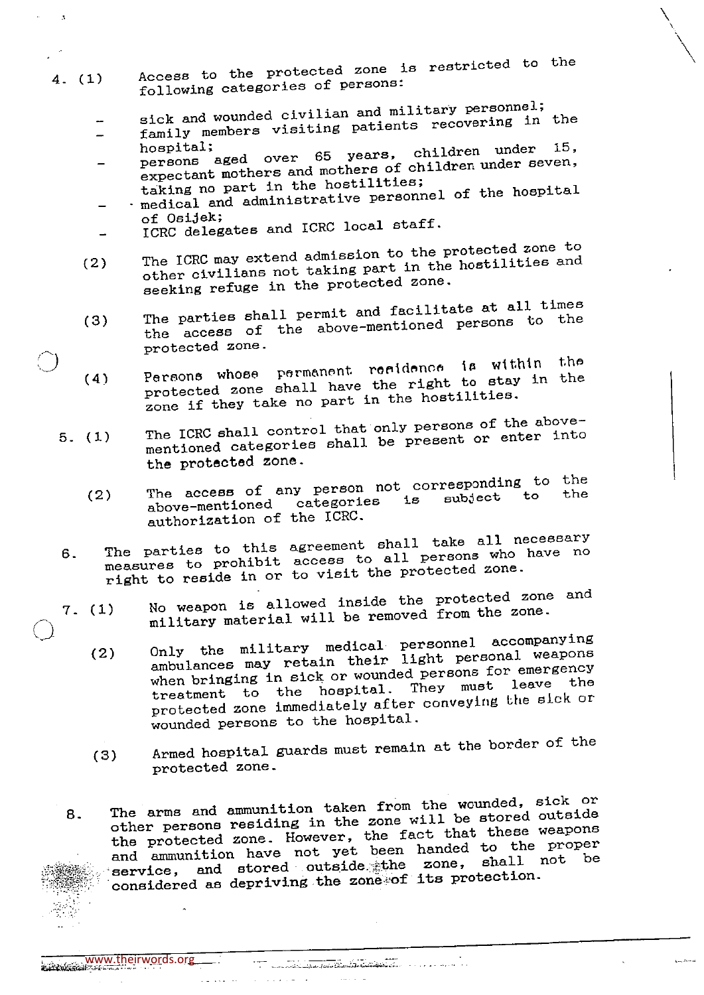- 4- (1) Access to the protected zone is restricted to the following categories of persons:
	- sick and wounded civilian and military personnel;
	- family members visiting patients recovering in the hospital; 15,
	- persons aged over 65 years, children under persons aged over by years, children under seven,  $expectant$  mothers and mothers of children under seven,  $\frac{1}{100}$ taking no part in the hostilities;
	- medical and administrative personnel of the hospital<br>of Osijek;
	- of Osijek - ICRC delegates and ICRC local staff.

 $\mathbf{A}$ 

- (2) The ICRC may extend admission to the protected zone to other civilians not taking part in the hostilities and
- seeking refuge in the protected zone.<br>The parties shall permit and facilitate at all times (3) The parties shall permit and facilitate at all the above-mentioned persons to the
- protected zone.<br>Persons whose permanent residence is within the  $(4)$  Persons whose permanent rorinomor in with the protected zone shall have the right to stay in the zone if they take no part in the hostilities.<br>The ICRC shall control that only persons of the above-
- 5. (1) The ICRC shall control that only persons of the above mentioned categories shall be present or enter into the protected zone.
	- (2) The access of any person not corresponding to the above-mentioned categories is subject to the authorization of the ICRC.
- 6. The parties to this agreement shall take all necessary measures to prohibit access to all persons who have no right to reside in or to visit the protected zone.<br>() No weapon is allowed inside the protected zone and
- 7. (1) No weapon is allowed inside the proceeding protection and institute and protection military medical personnel accompanying (2) Only the military medical personnel accompanying
	- (2) Only the military medical personnel accompanying ambulances may retain their light personal weapons when bringing in sick or wounded persons for emergency treatment to the hospital. They must leave the protected zone immediately after conveying the sick or wounded persons to the hospital.
	- (3) Armed hospital guards must remain at the border of the protected zone.
	- 8. The arms and ammunition taken from the wounded, sick or<br>other persons residing in the zone will be stored outside the protected zone. However, the fact that these weapons and ammunition have not yet been handed to the proper service, and stored outside the zone, considered as depriving the zone ~of its protection.

 $\bar{1},\bar{2},\bar{3},\bar{4},\bar{5}$ 

 $\frac{2}{\sqrt{2}}$  www.theirwords.org

 $\sim$ 

الأراسيا لألبان

www.theirwords.org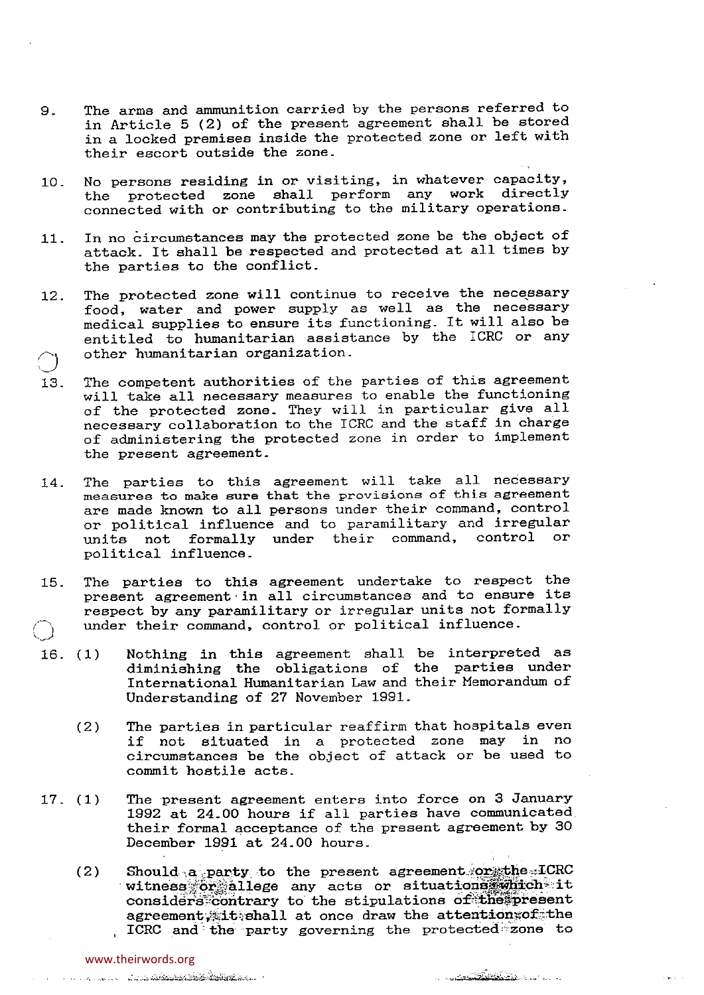- 9.. The arms and ammunition carried by the persons referred to in Article 5 (2) of the present agreement shall be stored in <sup>a</sup> locked premises inside the protected zone or left with their escort outside the zone..
- 10.. No persons residing in or visiting, in whatever capacity, the protected zone shall perform any work directly connected with or contributing to the military operations..
- 11. In no circumstances may the protected zone be the object of attack. It shall be respected and protected at all times by the parties to the conflict.
- 12. The protected zone will continue to receive the necessary food, water and power supply as well as the necessary medical supplies to ensure its functioning. It will also be entitled to humanitarian assistance by the ICRC or any other humanitarian organization.
- 13. The competent authorities of the parties of this agreement will take all necessary measures to enable the functioning of the protected zone. They will in particular give all necessary collaboration to the ICRC and the staff in charge of administering the protected zone in order to implement the present agreement.
- 14. The parties to this agreement will take all necessary measures to make sure that the provisions of this agreement are made known to all persons under their command, control or political influence and to paramilitary and irregular<br>units, not, formally under, their, command, control or units not formally under their command, political influence.
- 15. The parties to this agreement undertake to respect the present agreement in all circumstances and to ensure its respect by any paramilitary or irregular units not formally under their command, control or political influence.
- 16. (1) Nothing in this agreement shall be interpreted as diminishing the obligations of the parties under International Humanitarian Law and their Memorandum of Understanding of 27 November 1991.
	- (2) The parties in particular reaffirm that hospitals even if not situated in <sup>a</sup> protected zone may in no circumstances be the object of attack or be used to commit hostile acts.
- 17. (1) The present agreement enters into force on 3 January 1992 at 24.00 hours if all parties have communicated their formal acceptance of the present agreement by 30 December 1991 at 24.00 hours.
	- (2) Should a party to the present agreement:or the ICRC witness or allege any acts or situations which it considers contrary to the stipulations of the present agreement, it shall at once draw the attentions of the ICRO and the party governing the protected~zone to

and the common states of the common states of the common of the common states of the common states of the common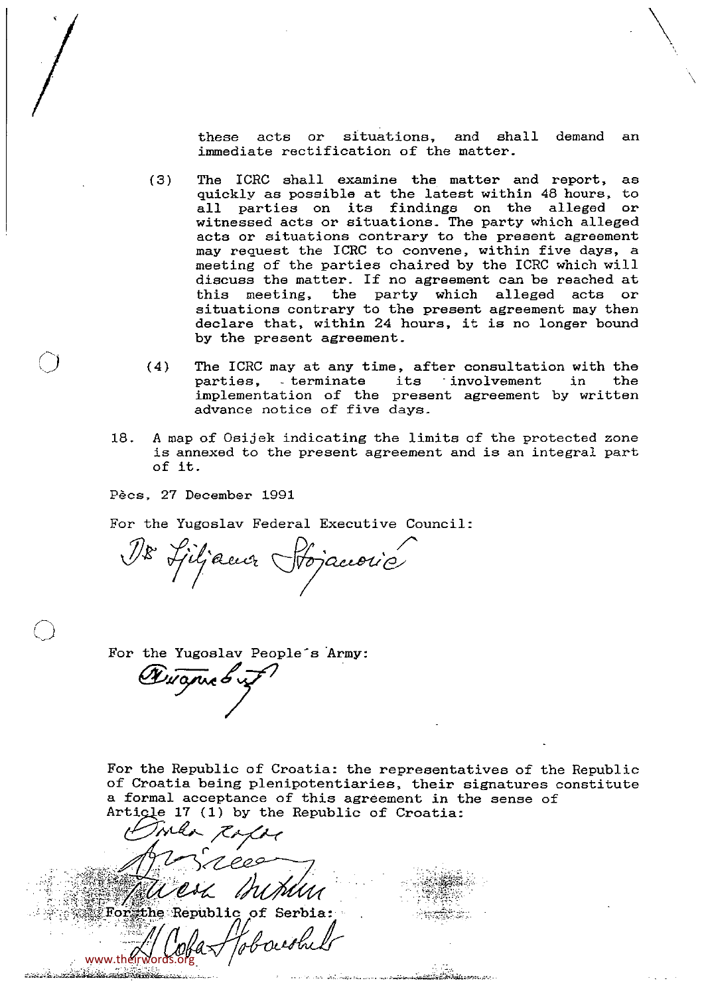these acts or situations, and shall demand an immediate rectification of the matter

- (3) The ICRC shall examine the matter and report, as quickly as possible at the latest within 48 hours, to all parties on its findings on the alleged or witnessed acts or situations. The party which alleged acts or situations contrary to the present agreement may request the ICRC to convene, within five days, <sup>a</sup> meeting of the parties chaired by the ICRC which will discuss the matter. If no agreement can be reached at this meeting, the party which alleged acts or situations contrary to the present agreement may then declare that, within 24 hours, it is no longer bound by the present agreement..
- (4) The ICRC may at any time, after consultation with the parties, - terminate its - involvement in the implementation of the present agreement by written advance notice of five days..
- 18. A map of Osijek indicating the limits of the protected zone is annexed to the present agreement and is an integral part of it.

Pecs, 27 December 1991

 $\bigg/$ 

U

For the Yugoslav Federal Executive Council:

18 Sjiljacur Hojaccovic

For the Yugoslav People's Army:

Augne 6 v

For the Republic of Croatia: the representatives of the Republic of Croatia being plenipotentiaries, their signatures constitute <sup>a</sup> formal acceptance of this agreement in the sense of Artigle 17  $(1)$  by the Republic of Croatia:

.<br>والتأسيس الريب والدياني عنده الرئيس الرئيس الأساب الأول المسا

ล้วันที่พื้นเป็นสารสอบเป็น

 $\sim$ lv INDUM  $\overline{\text{For}}$  the Republic of Serbia: www.theirwords.org

tus den att blir komtingen av m